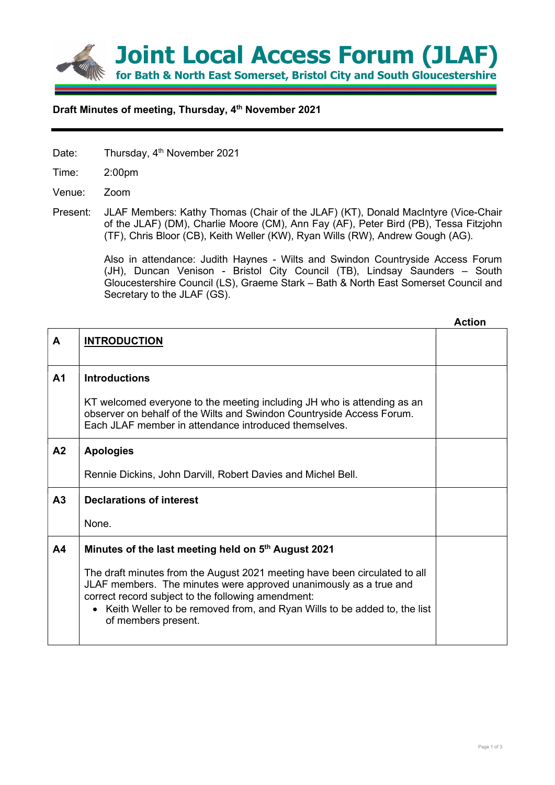

## Draft Minutes of meeting, Thursday, 4<sup>th</sup> November 2021

- Date: Thursday, 4<sup>th</sup> November 2021
- Time: 2:00pm
- Venue: Zoom
- Present: JLAF Members: Kathy Thomas (Chair of the JLAF) (KT), Donald MacIntyre (Vice-Chair of the JLAF) (DM), Charlie Moore (CM), Ann Fay (AF), Peter Bird (PB), Tessa Fitzjohn (TF), Chris Bloor (CB), Keith Weller (KW), Ryan Wills (RW), Andrew Gough (AG).

Also in attendance: Judith Haynes - Wilts and Swindon Countryside Access Forum (JH), Duncan Venison - Bristol City Council (TB), Lindsay Saunders – South Gloucestershire Council (LS), Graeme Stark – Bath & North East Somerset Council and Secretary to the JLAF (GS).

|                |                                                                                                                                                                                                                                                                                                            | <b>Action</b> |
|----------------|------------------------------------------------------------------------------------------------------------------------------------------------------------------------------------------------------------------------------------------------------------------------------------------------------------|---------------|
| A              | <b>INTRODUCTION</b>                                                                                                                                                                                                                                                                                        |               |
| A <sub>1</sub> | <b>Introductions</b>                                                                                                                                                                                                                                                                                       |               |
|                | KT welcomed everyone to the meeting including JH who is attending as an<br>observer on behalf of the Wilts and Swindon Countryside Access Forum.<br>Each JLAF member in attendance introduced themselves.                                                                                                  |               |
| A2             | <b>Apologies</b>                                                                                                                                                                                                                                                                                           |               |
|                | Rennie Dickins, John Darvill, Robert Davies and Michel Bell.                                                                                                                                                                                                                                               |               |
| A <sub>3</sub> | <b>Declarations of interest</b>                                                                                                                                                                                                                                                                            |               |
|                | None.                                                                                                                                                                                                                                                                                                      |               |
| A4             | Minutes of the last meeting held on 5 <sup>th</sup> August 2021                                                                                                                                                                                                                                            |               |
|                | The draft minutes from the August 2021 meeting have been circulated to all<br>JLAF members. The minutes were approved unanimously as a true and<br>correct record subject to the following amendment:<br>• Keith Weller to be removed from, and Ryan Wills to be added to, the list<br>of members present. |               |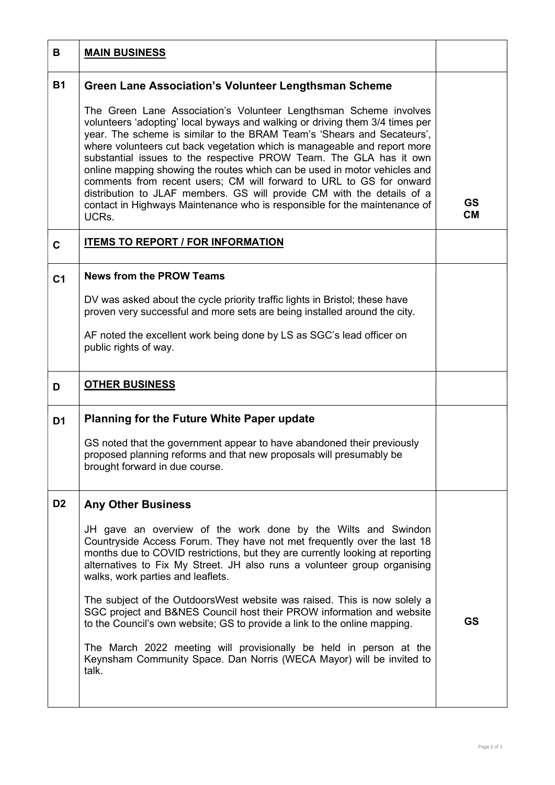| В              | <b>MAIN BUSINESS</b>                                                                                                                                                                                                                                                                                                                                                                                                                                                                                                                                                                                                                                                                              |                        |
|----------------|---------------------------------------------------------------------------------------------------------------------------------------------------------------------------------------------------------------------------------------------------------------------------------------------------------------------------------------------------------------------------------------------------------------------------------------------------------------------------------------------------------------------------------------------------------------------------------------------------------------------------------------------------------------------------------------------------|------------------------|
| <b>B1</b>      | <b>Green Lane Association's Volunteer Lengthsman Scheme</b>                                                                                                                                                                                                                                                                                                                                                                                                                                                                                                                                                                                                                                       |                        |
|                | The Green Lane Association's Volunteer Lengthsman Scheme involves<br>volunteers 'adopting' local byways and walking or driving them 3/4 times per<br>year. The scheme is similar to the BRAM Team's 'Shears and Secateurs',<br>where volunteers cut back vegetation which is manageable and report more<br>substantial issues to the respective PROW Team. The GLA has it own<br>online mapping showing the routes which can be used in motor vehicles and<br>comments from recent users; CM will forward to URL to GS for onward<br>distribution to JLAF members. GS will provide CM with the details of a<br>contact in Highways Maintenance who is responsible for the maintenance of<br>UCRs. | <b>GS</b><br><b>CM</b> |
| $\mathbf{C}$   | <b>ITEMS TO REPORT / FOR INFORMATION</b>                                                                                                                                                                                                                                                                                                                                                                                                                                                                                                                                                                                                                                                          |                        |
| C <sub>1</sub> | <b>News from the PROW Teams</b>                                                                                                                                                                                                                                                                                                                                                                                                                                                                                                                                                                                                                                                                   |                        |
|                | DV was asked about the cycle priority traffic lights in Bristol; these have<br>proven very successful and more sets are being installed around the city.                                                                                                                                                                                                                                                                                                                                                                                                                                                                                                                                          |                        |
|                | AF noted the excellent work being done by LS as SGC's lead officer on<br>public rights of way.                                                                                                                                                                                                                                                                                                                                                                                                                                                                                                                                                                                                    |                        |
| D              | <b>OTHER BUSINESS</b>                                                                                                                                                                                                                                                                                                                                                                                                                                                                                                                                                                                                                                                                             |                        |
| D <sub>1</sub> | <b>Planning for the Future White Paper update</b>                                                                                                                                                                                                                                                                                                                                                                                                                                                                                                                                                                                                                                                 |                        |
|                | GS noted that the government appear to have abandoned their previously<br>proposed planning reforms and that new proposals will presumably be<br>brought forward in due course.                                                                                                                                                                                                                                                                                                                                                                                                                                                                                                                   |                        |
| D <sub>2</sub> | <b>Any Other Business</b>                                                                                                                                                                                                                                                                                                                                                                                                                                                                                                                                                                                                                                                                         |                        |
|                | JH gave an overview of the work done by the Wilts and Swindon<br>Countryside Access Forum. They have not met frequently over the last 18<br>months due to COVID restrictions, but they are currently looking at reporting<br>alternatives to Fix My Street. JH also runs a volunteer group organising<br>walks, work parties and leaflets.                                                                                                                                                                                                                                                                                                                                                        |                        |
|                | The subject of the OutdoorsWest website was raised. This is now solely a<br>SGC project and B&NES Council host their PROW information and website<br>to the Council's own website; GS to provide a link to the online mapping.                                                                                                                                                                                                                                                                                                                                                                                                                                                                    | <b>GS</b>              |
|                | The March 2022 meeting will provisionally be held in person at the<br>Keynsham Community Space. Dan Norris (WECA Mayor) will be invited to<br>talk.                                                                                                                                                                                                                                                                                                                                                                                                                                                                                                                                               |                        |
|                |                                                                                                                                                                                                                                                                                                                                                                                                                                                                                                                                                                                                                                                                                                   |                        |